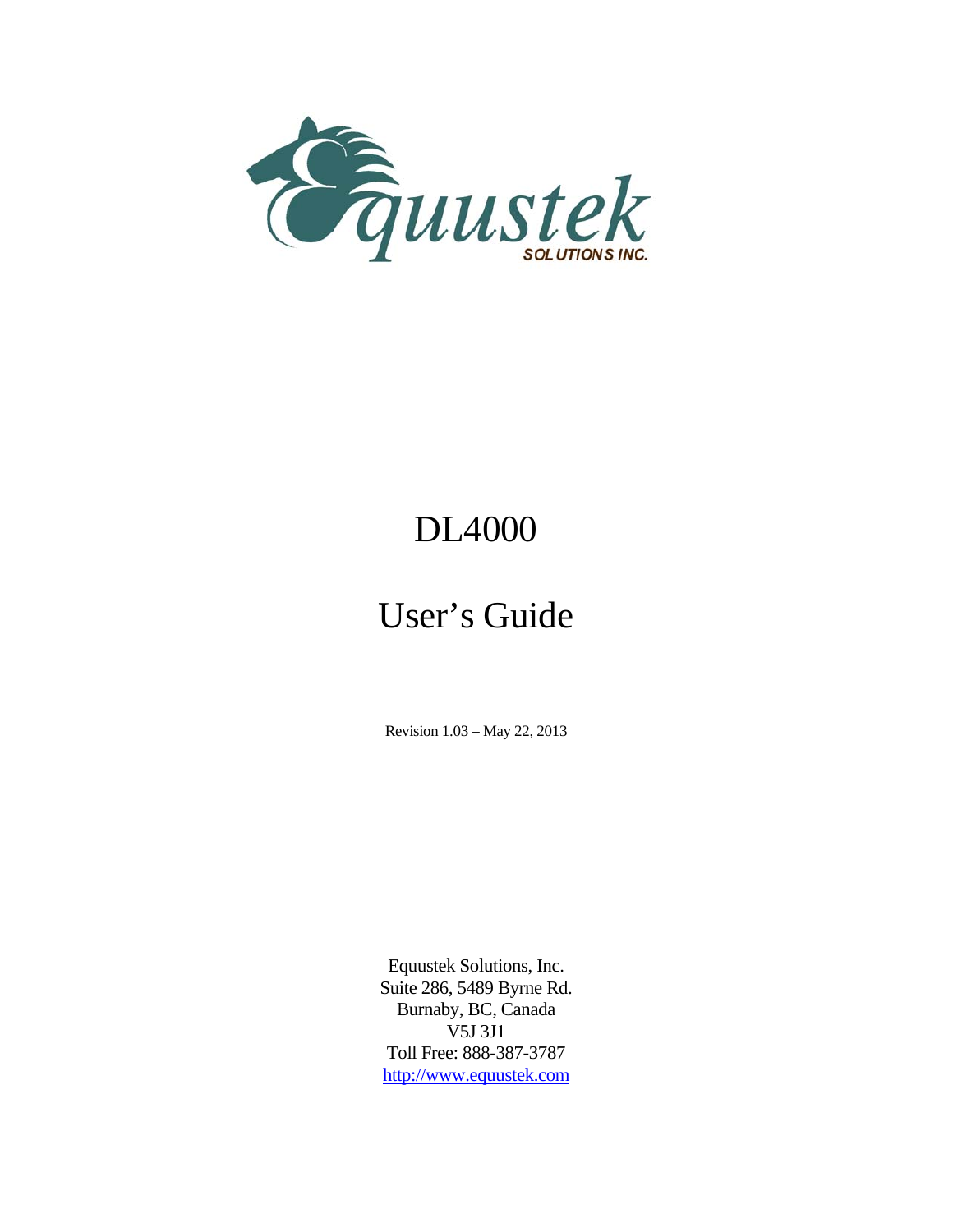

# DL4000

# User's Guide

Revision 1.03 – May 22, 2013

Equustek Solutions, Inc. Suite 286, 5489 Byrne Rd. Burnaby, BC, Canada V5J 3J1 Toll Free: 888-387-3787 http://www.equustek.com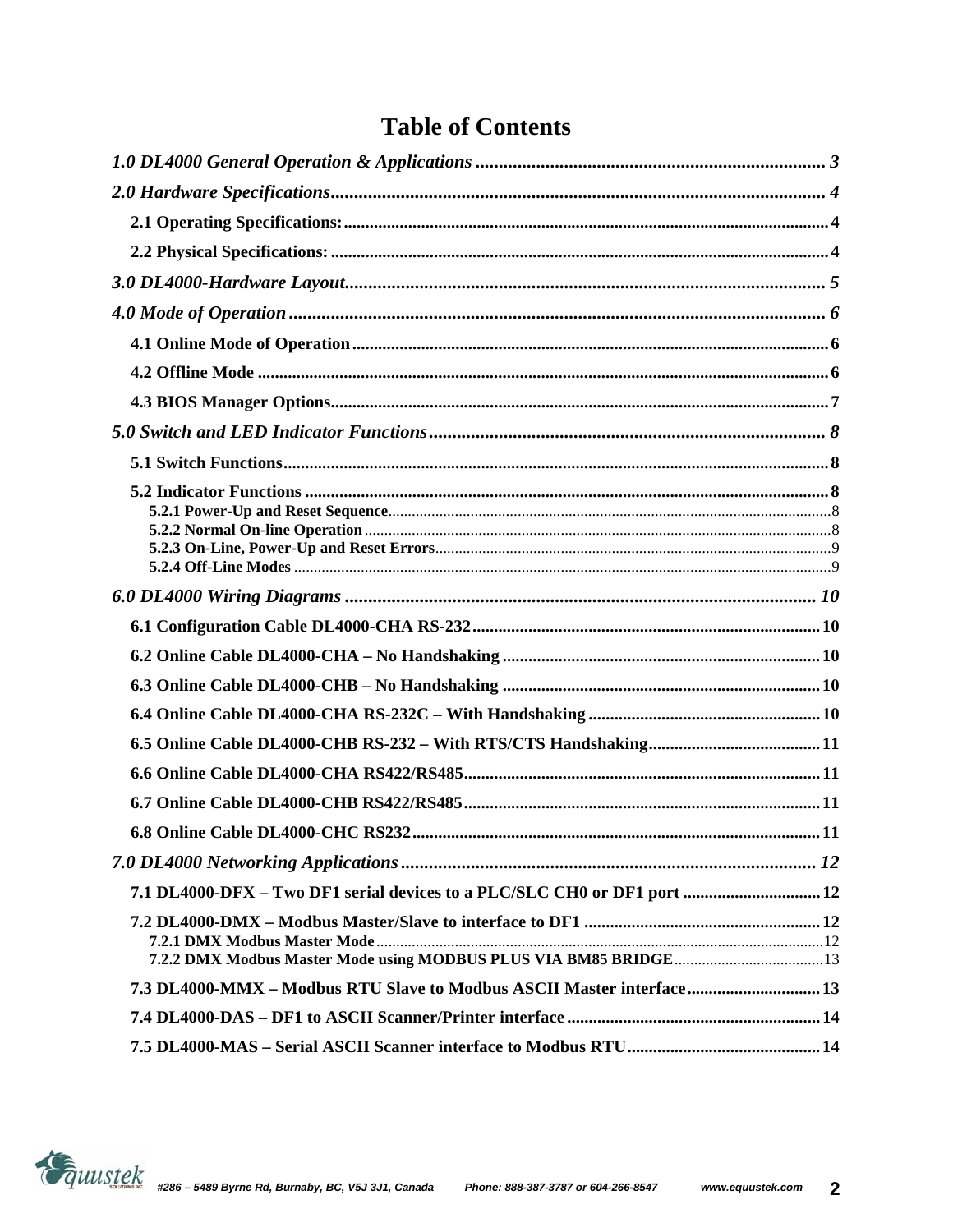### **Table of Contents**

| 7.1 DL4000-DFX - Two DF1 serial devices to a PLC/SLC CH0 or DF1 port  12 |
|--------------------------------------------------------------------------|
|                                                                          |
| 7.3 DL4000-MMX - Modbus RTU Slave to Modbus ASCII Master interface 13    |
|                                                                          |
|                                                                          |

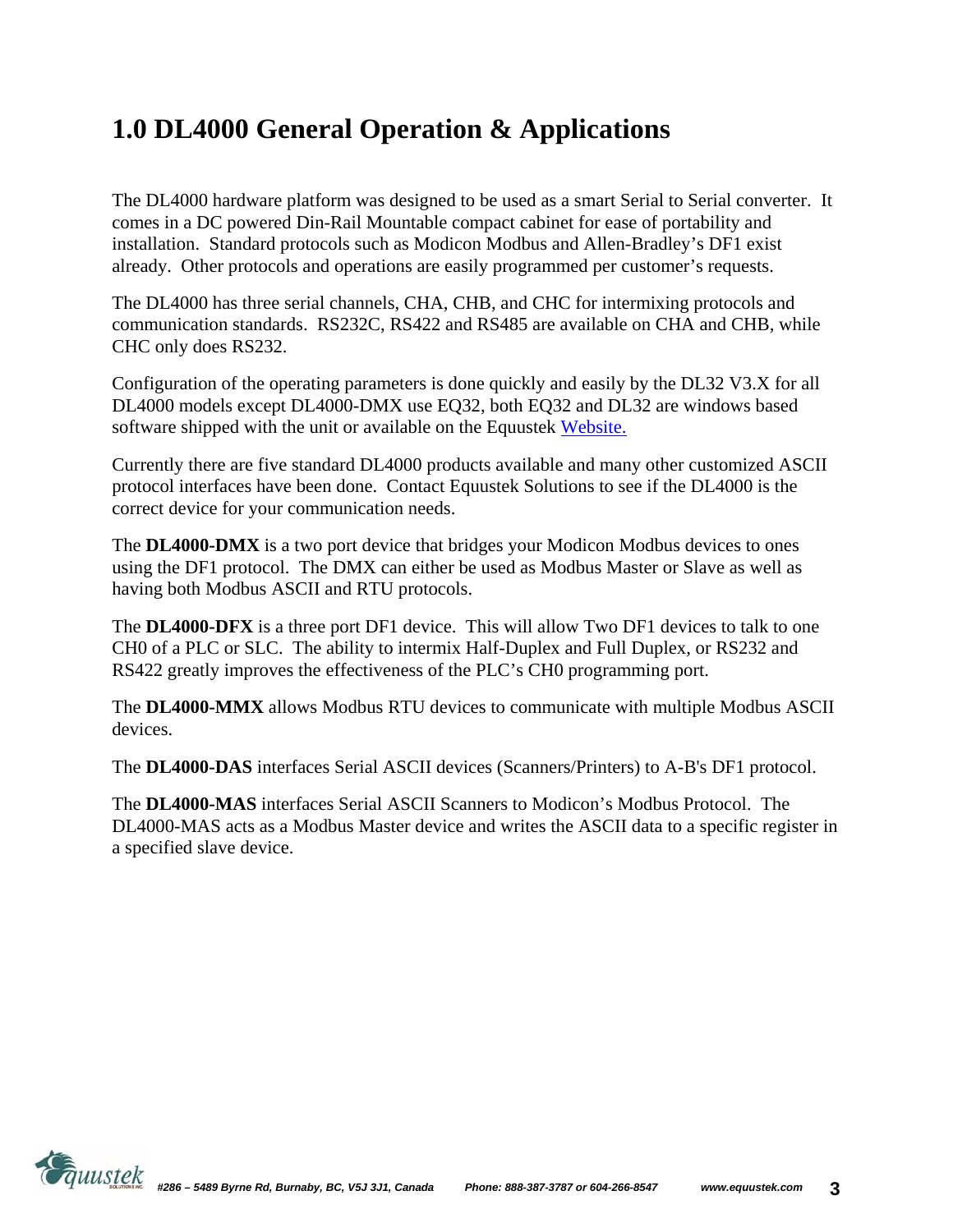# **1.0 DL4000 General Operation & Applications**

The DL4000 hardware platform was designed to be used as a smart Serial to Serial converter. It comes in a DC powered Din-Rail Mountable compact cabinet for ease of portability and installation. Standard protocols such as Modicon Modbus and Allen-Bradley's DF1 exist already. Other protocols and operations are easily programmed per customer's requests.

The DL4000 has three serial channels, CHA, CHB, and CHC for intermixing protocols and communication standards. RS232C, RS422 and RS485 are available on CHA and CHB, while CHC only does RS232.

Configuration of the operating parameters is done quickly and easily by the DL32 V3.X for all DL4000 models except DL4000-DMX use EQ32, both EQ32 and DL32 are windows based software shipped with the unit or available on the Equustek Website.

Currently there are five standard DL4000 products available and many other customized ASCII protocol interfaces have been done. Contact Equustek Solutions to see if the DL4000 is the correct device for your communication needs.

The **DL4000-DMX** is a two port device that bridges your Modicon Modbus devices to ones using the DF1 protocol. The DMX can either be used as Modbus Master or Slave as well as having both Modbus ASCII and RTU protocols.

The **DL4000-DFX** is a three port DF1 device. This will allow Two DF1 devices to talk to one CH0 of a PLC or SLC. The ability to intermix Half-Duplex and Full Duplex, or RS232 and RS422 greatly improves the effectiveness of the PLC's CH0 programming port.

The **DL4000-MMX** allows Modbus RTU devices to communicate with multiple Modbus ASCII devices.

The **DL4000-DAS** interfaces Serial ASCII devices (Scanners/Printers) to A-B's DF1 protocol.

The **DL4000-MAS** interfaces Serial ASCII Scanners to Modicon's Modbus Protocol. The DL4000-MAS acts as a Modbus Master device and writes the ASCII data to a specific register in a specified slave device.

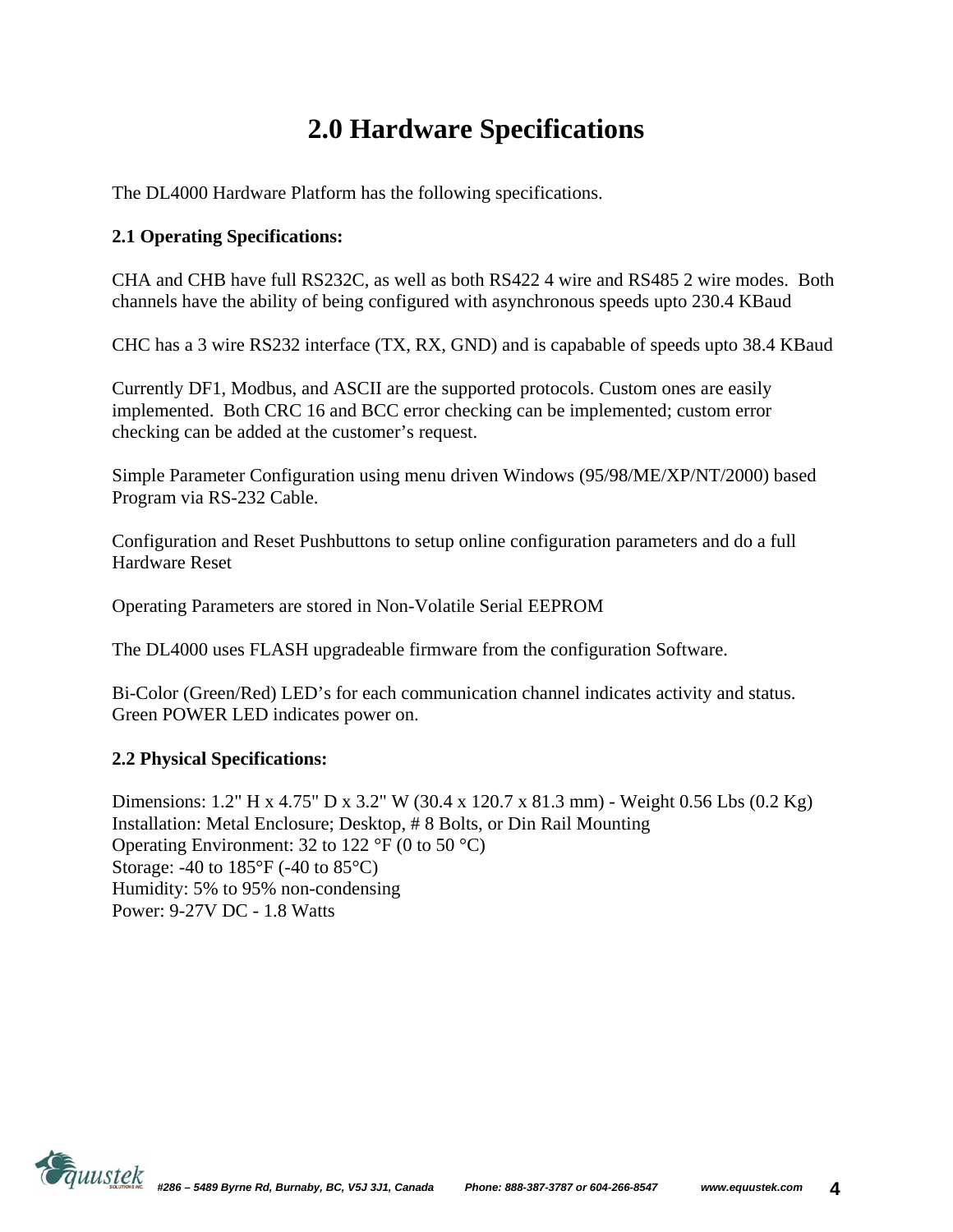# **2.0 Hardware Specifications**

The DL4000 Hardware Platform has the following specifications.

### **2.1 Operating Specifications:**

CHA and CHB have full RS232C, as well as both RS422 4 wire and RS485 2 wire modes. Both channels have the ability of being configured with asynchronous speeds upto 230.4 KBaud

CHC has a 3 wire RS232 interface (TX, RX, GND) and is capabable of speeds upto 38.4 KBaud

Currently DF1, Modbus, and ASCII are the supported protocols. Custom ones are easily implemented. Both CRC 16 and BCC error checking can be implemented; custom error checking can be added at the customer's request.

Simple Parameter Configuration using menu driven Windows (95/98/ME/XP/NT/2000) based Program via RS-232 Cable.

Configuration and Reset Pushbuttons to setup online configuration parameters and do a full Hardware Reset

Operating Parameters are stored in Non-Volatile Serial EEPROM

The DL4000 uses FLASH upgradeable firmware from the configuration Software.

Bi-Color (Green/Red) LED's for each communication channel indicates activity and status. Green POWER LED indicates power on.

### **2.2 Physical Specifications:**

Dimensions: 1.2" H x 4.75" D x 3.2" W (30.4 x 120.7 x 81.3 mm) - Weight 0.56 Lbs (0.2 Kg) Installation: Metal Enclosure; Desktop, # 8 Bolts, or Din Rail Mounting Operating Environment: 32 to 122  $\mathrm{P}F(0 \text{ to } 50 \mathrm{~}^{\circ}\mathrm{C})$ Storage: -40 to 185°F (-40 to 85°C) Humidity: 5% to 95% non-condensing Power: 9-27V DC - 1.8 Watts

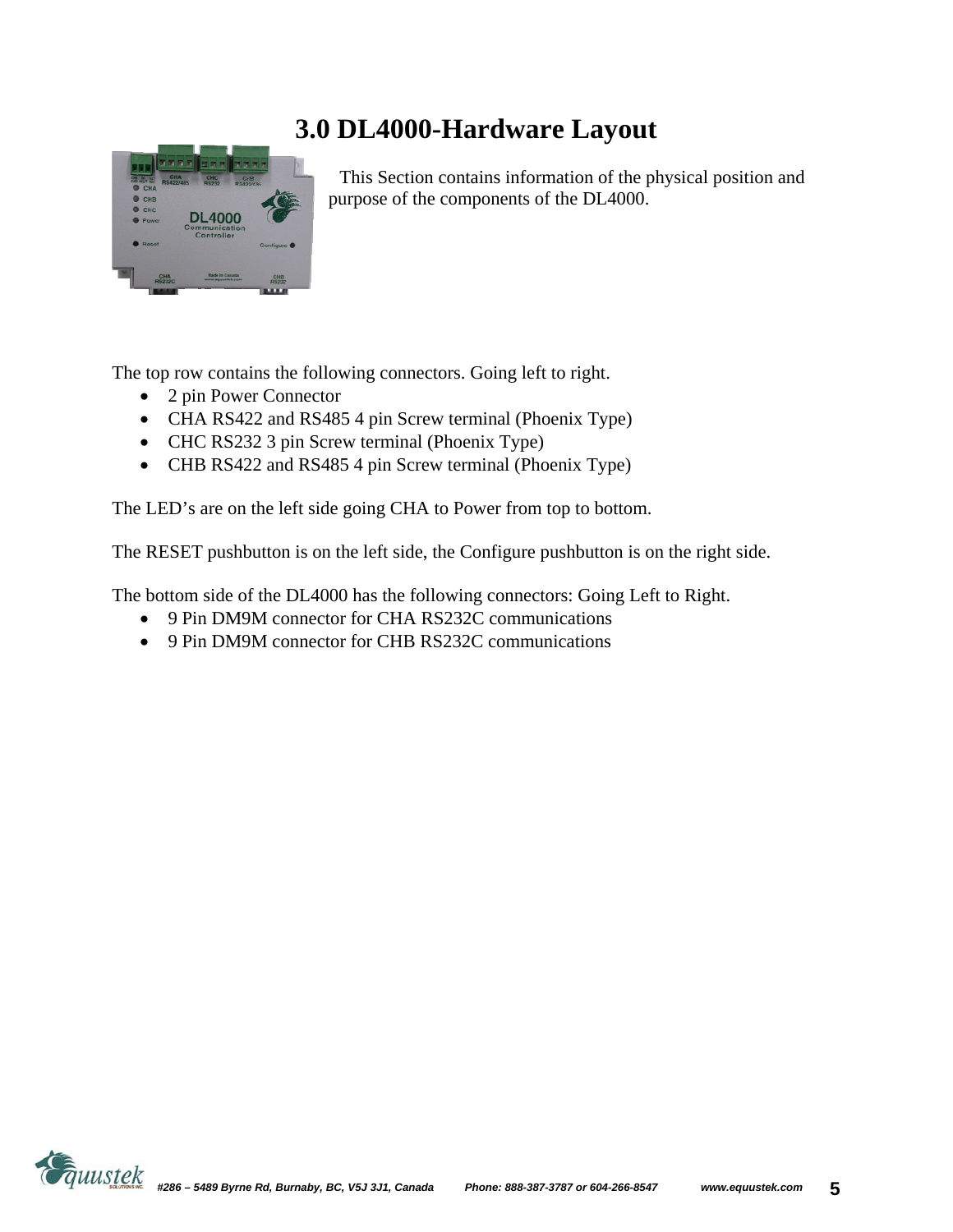# **3.0 DL4000-Hardware Layout**



This Section contains information of the physical position and purpose of the components of the DL4000.

The top row contains the following connectors. Going left to right.

- 2 pin Power Connector
- CHA RS422 and RS485 4 pin Screw terminal (Phoenix Type)
- CHC RS232 3 pin Screw terminal (Phoenix Type)
- CHB RS422 and RS485 4 pin Screw terminal (Phoenix Type)

The LED's are on the left side going CHA to Power from top to bottom.

The RESET pushbutton is on the left side, the Configure pushbutton is on the right side.

The bottom side of the DL4000 has the following connectors: Going Left to Right.

- 9 Pin DM9M connector for CHA RS232C communications
- 9 Pin DM9M connector for CHB RS232C communications

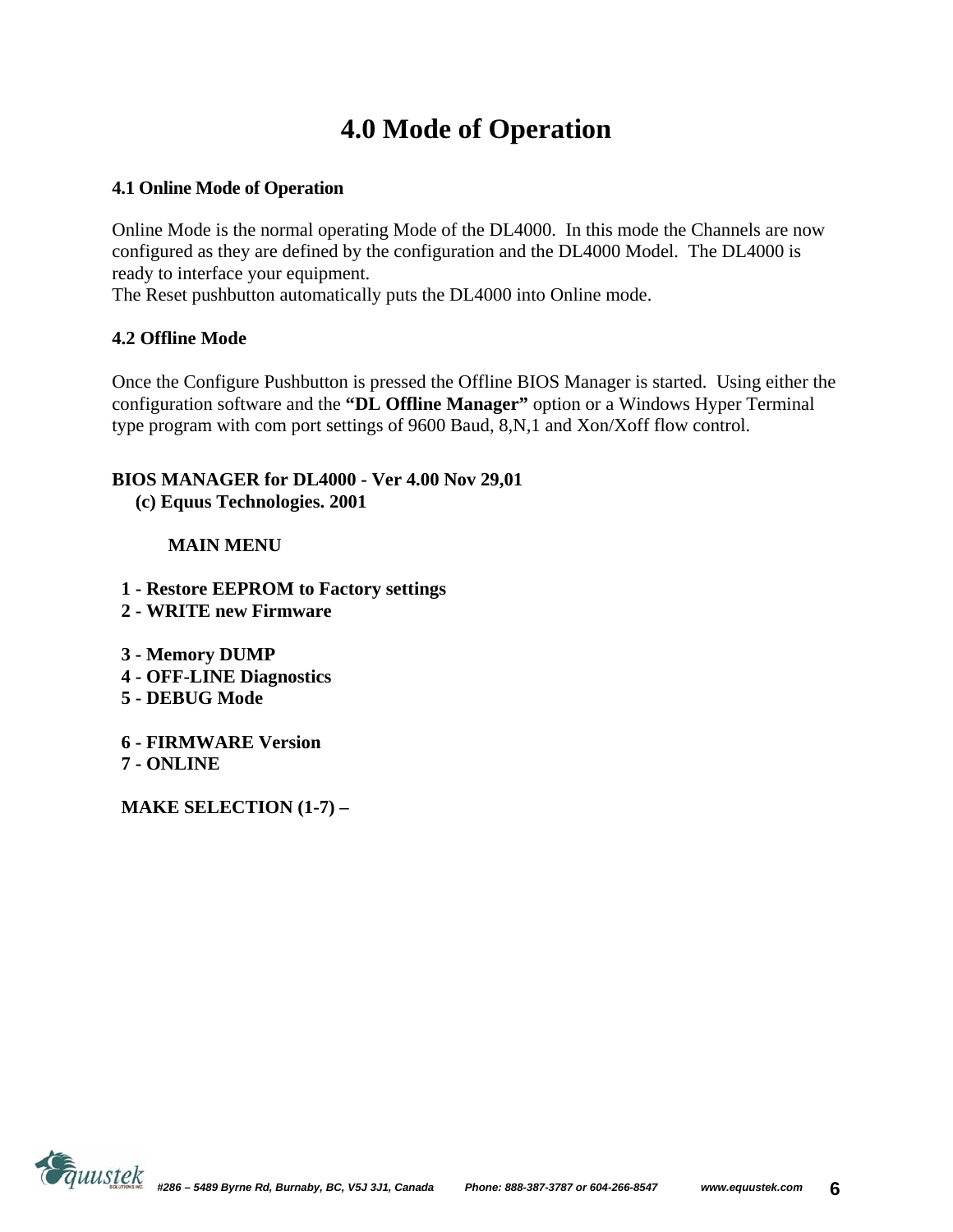# **4.0 Mode of Operation**

### **4.1 Online Mode of Operation**

Online Mode is the normal operating Mode of the DL4000. In this mode the Channels are now configured as they are defined by the configuration and the DL4000 Model. The DL4000 is ready to interface your equipment.

The Reset pushbutton automatically puts the DL4000 into Online mode.

### **4.2 Offline Mode**

Once the Configure Pushbutton is pressed the Offline BIOS Manager is started. Using either the configuration software and the **"DL Offline Manager"** option or a Windows Hyper Terminal type program with com port settings of 9600 Baud, 8,N,1 and Xon/Xoff flow control.

### **BIOS MANAGER for DL4000 - Ver 4.00 Nov 29,01**

 **(c) Equus Technologies. 2001** 

### **MAIN MENU**

- **1 Restore EEPROM to Factory settings**
- **2 WRITE new Firmware**
- **3 Memory DUMP**
- **4 OFF-LINE Diagnostics**
- **5 DEBUG Mode**
- **6 FIRMWARE Version 7 - ONLINE**

 **MAKE SELECTION (1-7) –** 

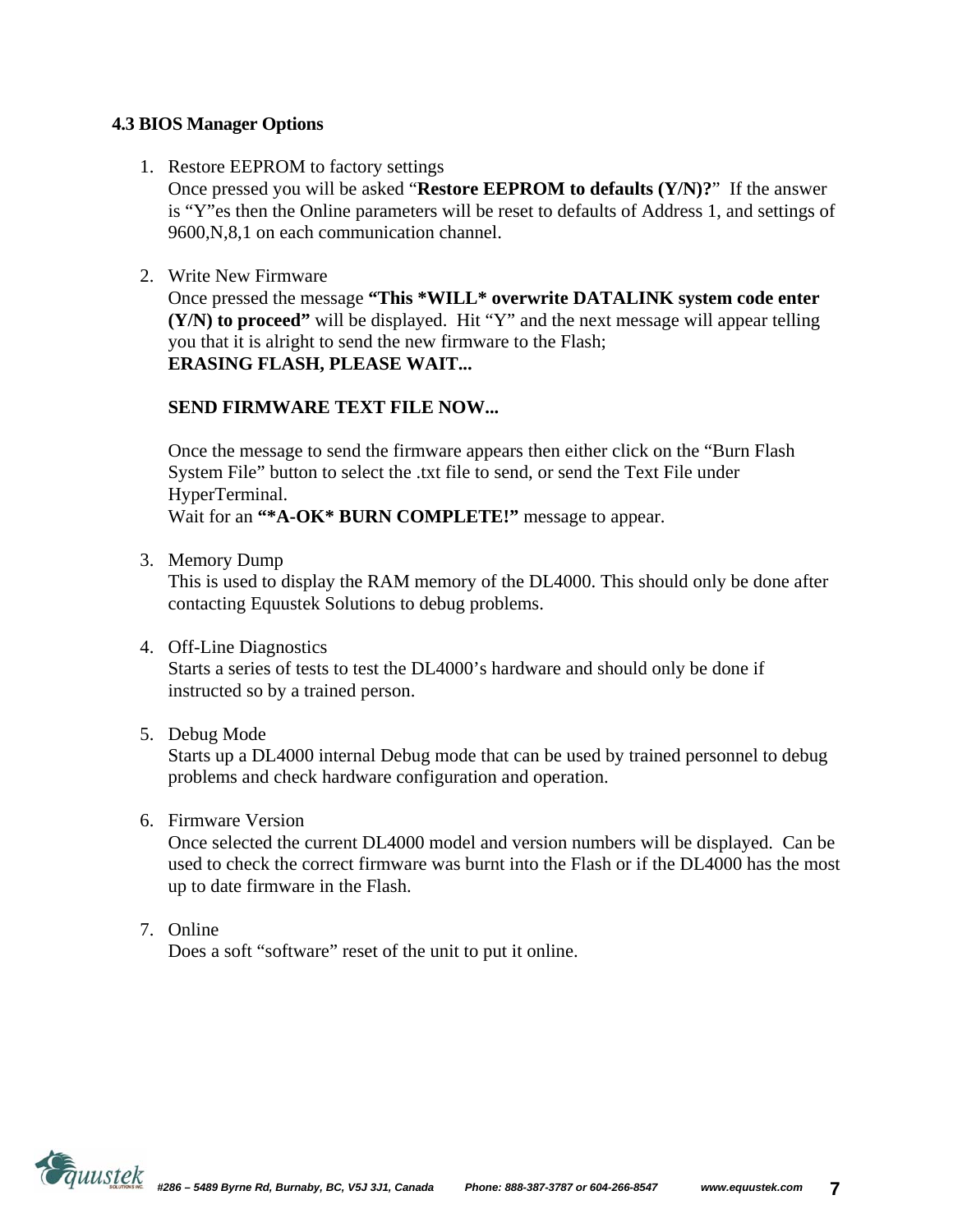### **4.3 BIOS Manager Options**

1. Restore EEPROM to factory settings

Once pressed you will be asked "**Restore EEPROM to defaults (Y/N)?**" If the answer is "Y"es then the Online parameters will be reset to defaults of Address 1, and settings of 9600,N,8,1 on each communication channel.

2. Write New Firmware

Once pressed the message **"This \*WILL\* overwrite DATALINK system code enter (Y/N) to proceed"** will be displayed. Hit "Y" and the next message will appear telling you that it is alright to send the new firmware to the Flash; **ERASING FLASH, PLEASE WAIT...** 

### **SEND FIRMWARE TEXT FILE NOW...**

Once the message to send the firmware appears then either click on the "Burn Flash System File" button to select the .txt file to send, or send the Text File under HyperTerminal. Wait for an **"\*A-OK\* BURN COMPLETE!"** message to appear.

3. Memory Dump

This is used to display the RAM memory of the DL4000. This should only be done after contacting Equustek Solutions to debug problems.

4. Off-Line Diagnostics

Starts a series of tests to test the DL4000's hardware and should only be done if instructed so by a trained person.

5. Debug Mode

Starts up a DL4000 internal Debug mode that can be used by trained personnel to debug problems and check hardware configuration and operation.

6. Firmware Version

Once selected the current DL4000 model and version numbers will be displayed. Can be used to check the correct firmware was burnt into the Flash or if the DL4000 has the most up to date firmware in the Flash.

7. Online

Does a soft "software" reset of the unit to put it online.

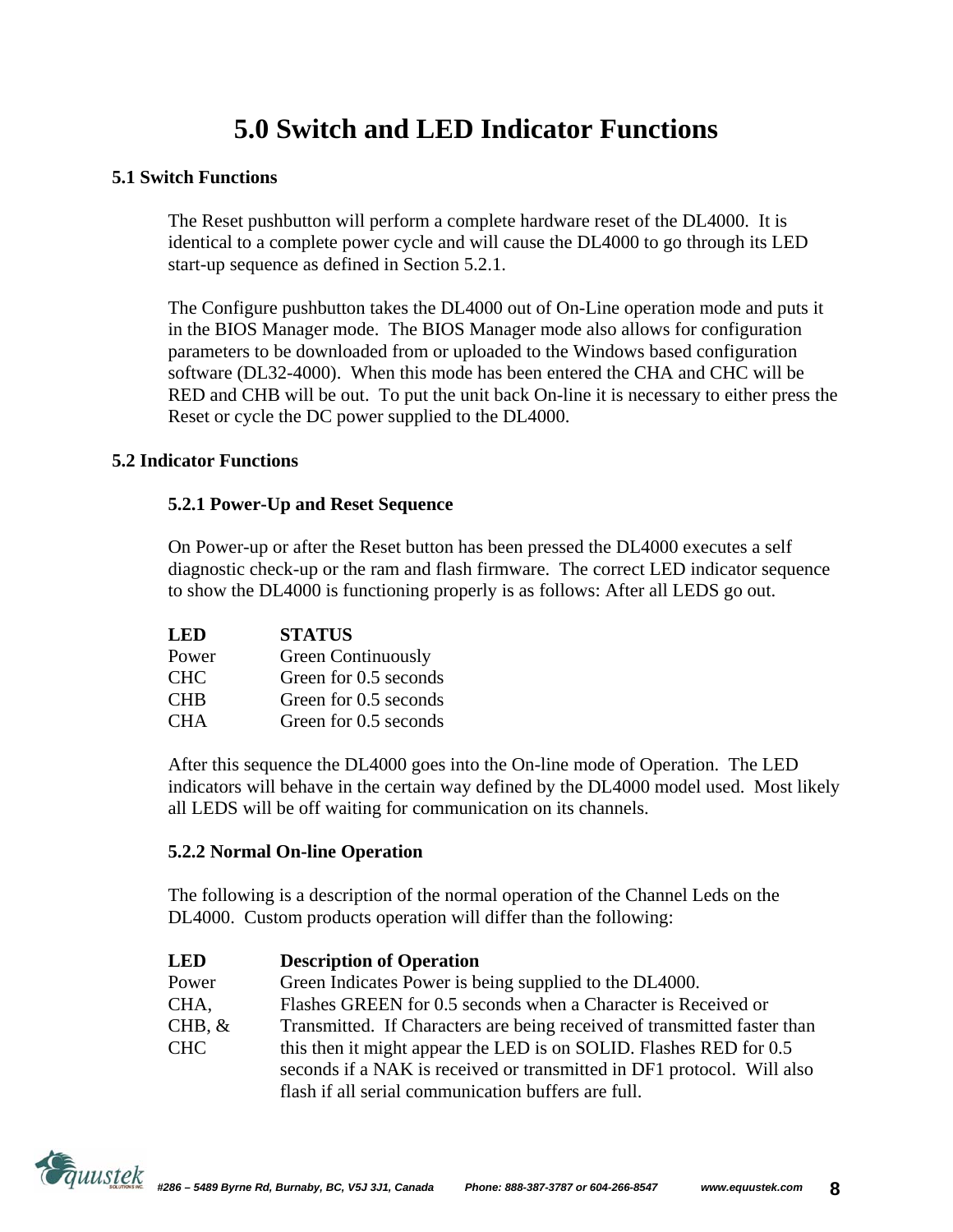# **5.0 Switch and LED Indicator Functions**

### **5.1 Switch Functions**

The Reset pushbutton will perform a complete hardware reset of the DL4000. It is identical to a complete power cycle and will cause the DL4000 to go through its LED start-up sequence as defined in Section 5.2.1.

The Configure pushbutton takes the DL4000 out of On-Line operation mode and puts it in the BIOS Manager mode. The BIOS Manager mode also allows for configuration parameters to be downloaded from or uploaded to the Windows based configuration software (DL32-4000). When this mode has been entered the CHA and CHC will be RED and CHB will be out. To put the unit back On-line it is necessary to either press the Reset or cycle the DC power supplied to the DL4000.

#### **5.2 Indicator Functions**

### **5.2.1 Power-Up and Reset Sequence**

On Power-up or after the Reset button has been pressed the DL4000 executes a self diagnostic check-up or the ram and flash firmware. The correct LED indicator sequence to show the DL4000 is functioning properly is as follows: After all LEDS go out.

| LED        | <b>STATUS</b>             |
|------------|---------------------------|
| Power      | <b>Green Continuously</b> |
| <b>CHC</b> | Green for 0.5 seconds     |
| <b>CHB</b> | Green for 0.5 seconds     |
| <b>CHA</b> | Green for 0.5 seconds     |

After this sequence the DL4000 goes into the On-line mode of Operation. The LED indicators will behave in the certain way defined by the DL4000 model used. Most likely all LEDS will be off waiting for communication on its channels.

### **5.2.2 Normal On-line Operation**

The following is a description of the normal operation of the Channel Leds on the DL4000. Custom products operation will differ than the following:

| <b>LED</b> | <b>Description of Operation</b>                                          |  |
|------------|--------------------------------------------------------------------------|--|
| Power      | Green Indicates Power is being supplied to the DL4000.                   |  |
| CHA,       | Flashes GREEN for 0.5 seconds when a Character is Received or            |  |
| $CHB, \&$  | Transmitted. If Characters are being received of transmitted faster than |  |
| <b>CHC</b> | this then it might appear the LED is on SOLID. Flashes RED for 0.5       |  |
|            | seconds if a NAK is received or transmitted in DF1 protocol. Will also   |  |
|            | flash if all serial communication buffers are full.                      |  |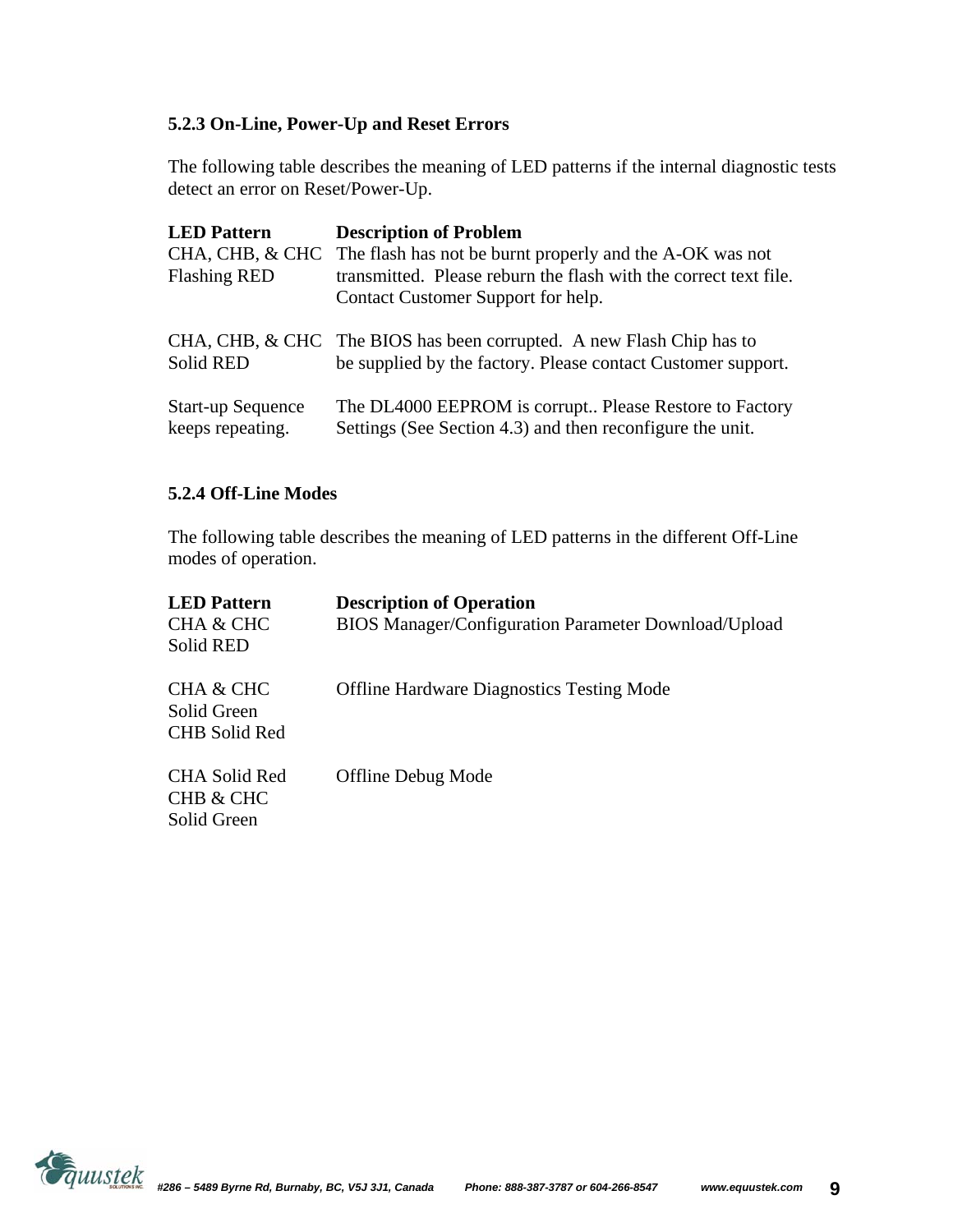### **5.2.3 On-Line, Power-Up and Reset Errors**

The following table describes the meaning of LED patterns if the internal diagnostic tests detect an error on Reset/Power-Up.

| <b>LED</b> Pattern<br><b>Flashing RED</b>    | <b>Description of Problem</b><br>CHA, CHB, & CHC The flash has not be burnt properly and the A-OK was not<br>transmitted. Please reburn the flash with the correct text file.<br>Contact Customer Support for help. |
|----------------------------------------------|---------------------------------------------------------------------------------------------------------------------------------------------------------------------------------------------------------------------|
| <b>Solid RED</b>                             | CHA, CHB, & CHC The BIOS has been corrupted. A new Flash Chip has to<br>be supplied by the factory. Please contact Customer support.                                                                                |
| <b>Start-up Sequence</b><br>keeps repeating. | The DL4000 EEPROM is corrupt Please Restore to Factory<br>Settings (See Section 4.3) and then reconfigure the unit.                                                                                                 |

#### **5.2.4 Off-Line Modes**

The following table describes the meaning of LED patterns in the different Off-Line modes of operation.

| <b>LED</b> Pattern<br>CHA & CHC<br>Solid RED                | <b>Description of Operation</b><br>BIOS Manager/Configuration Parameter Download/Upload |
|-------------------------------------------------------------|-----------------------------------------------------------------------------------------|
| CHA & CHC<br>Solid Green<br><b>CHB</b> Solid Red            | <b>Offline Hardware Diagnostics Testing Mode</b>                                        |
| <b>CHA Solid Red</b><br><b>CHB &amp; CHC</b><br>Solid Green | <b>Offline Debug Mode</b>                                                               |

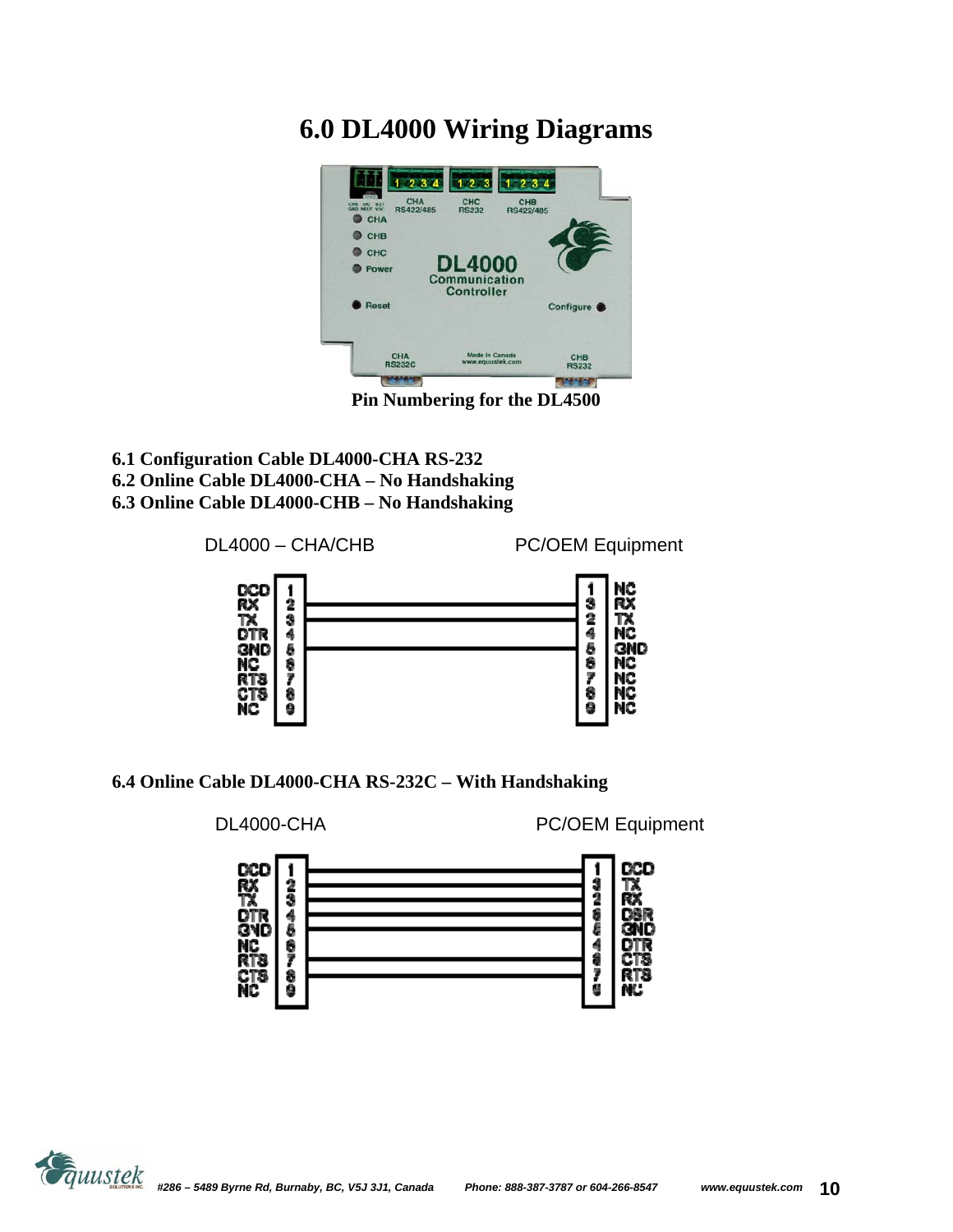### **6.0 DL4000 Wiring Diagrams**



**Pin Numbering for the DL4500** 

**6.1 Configuration Cable DL4000-CHA RS-232 6.2 Online Cable DL4000-CHA – No Handshaking 6.3 Online Cable DL4000-CHB – No Handshaking** 



**6.4 Online Cable DL4000-CHA RS-232C – With Handshaking** 



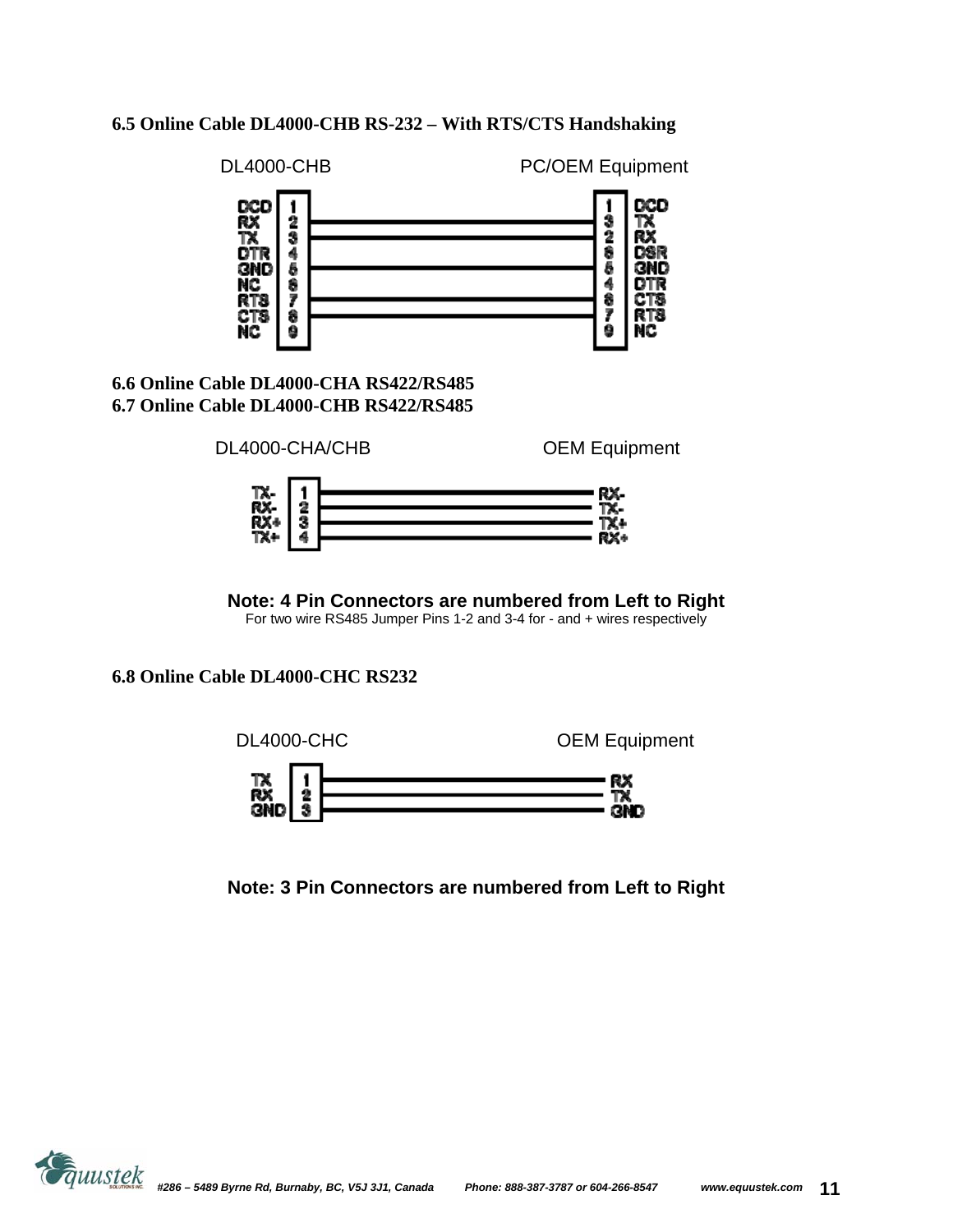#### **6.5 Online Cable DL4000-CHB RS-232 – With RTS/CTS Handshaking**



**Note: 4 Pin Connectors are numbered from Left to Right**  For two wire RS485 Jumper Pins 1-2 and 3-4 for - and + wires respectively

**6.8 Online Cable DL4000-CHC RS232** 



**Note: 3 Pin Connectors are numbered from Left to Right** 

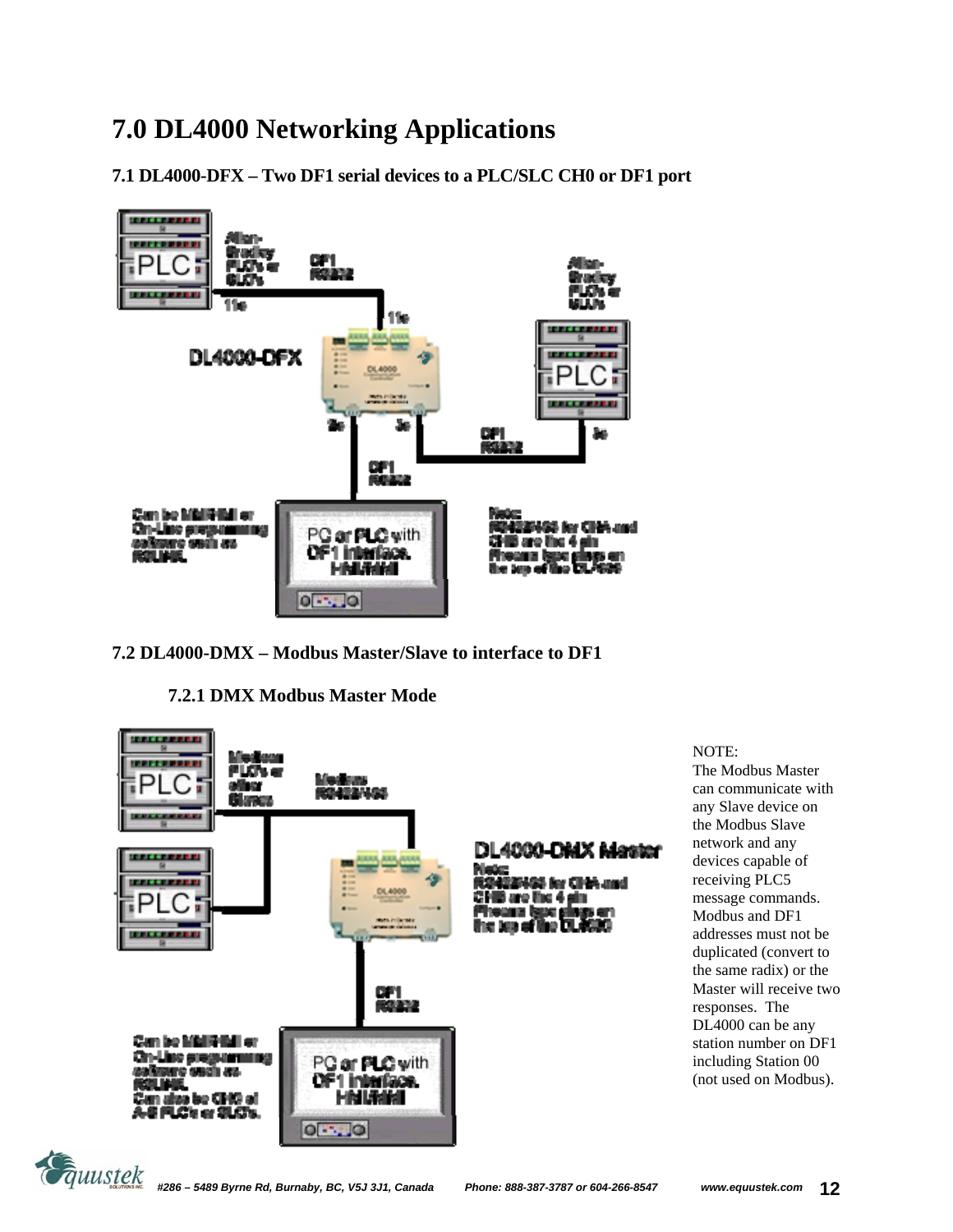# **7.0 DL4000 Networking Applications**

**7.1 DL4000-DFX – Two DF1 serial devices to a PLC/SLC CH0 or DF1 port** 



#### **7.2 DL4000-DMX – Modbus Master/Slave to interface to DF1**

**7.2.1 DMX Modbus Master Mode** 



#### NOTE:

The Modbus Master can communicate with any Slave device on the Modbus Slave network and any devices capable of receiving PLC5 message commands. Modbus and DF1 addresses must not be duplicated (convert to the same radix) or the Master will receive two responses. The DL4000 can be any station number on DF1 including Station 00 (not used on Modbus).

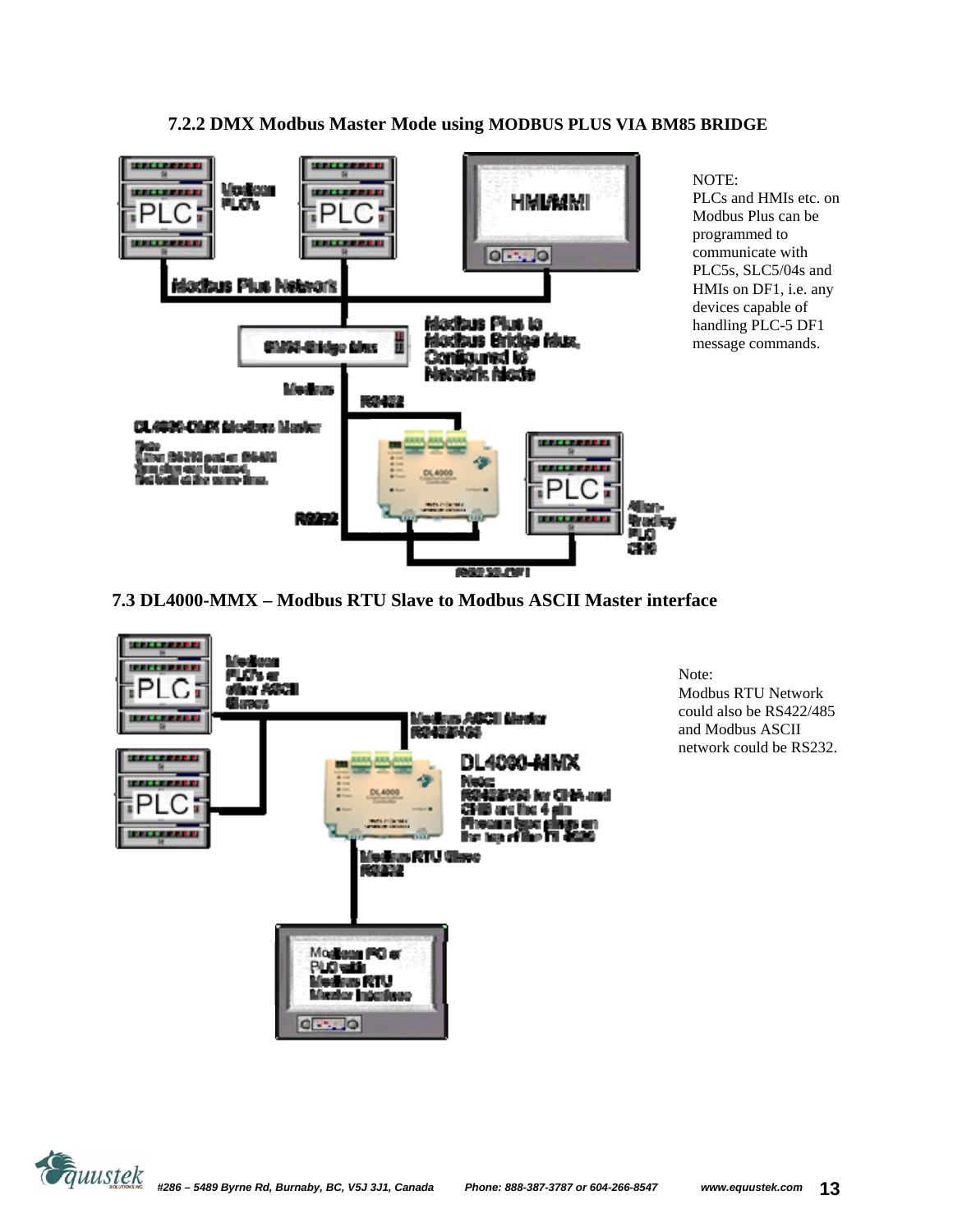

### **7.2.2 DMX Modbus Master Mode using MODBUS PLUS VIA BM85 BRIDGE**

**7.3 DL4000-MMX – Modbus RTU Slave to Modbus ASCII Master interface** 



Note: Modbus RTU Network could also be RS422/485 and Modbus ASCII network could be RS232.